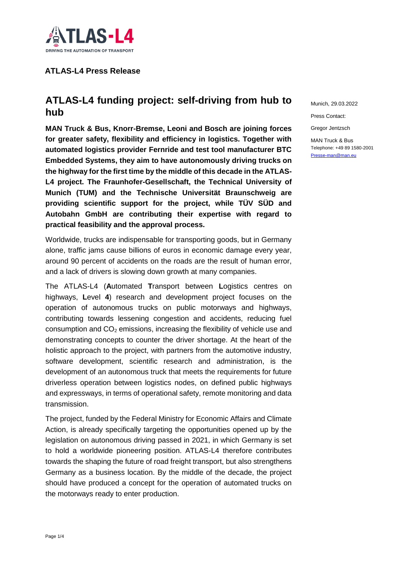

# **ATLAS-L4 Press Release**

# **ATLAS-L4 funding project: self-driving from hub to hub**

**MAN Truck & Bus, Knorr-Bremse, Leoni and Bosch are joining forces for greater safety, flexibility and efficiency in logistics. Together with automated logistics provider Fernride and test tool manufacturer BTC Embedded Systems, they aim to have autonomously driving trucks on the highway for the first time by the middle of this decade in the ATLAS-L4 project. The Fraunhofer-Gesellschaft, the Technical University of Munich (TUM) and the Technische Universität Braunschweig are providing scientific support for the project, while TÜV SÜD and Autobahn GmbH are contributing their expertise with regard to practical feasibility and the approval process.** 

Worldwide, trucks are indispensable for transporting goods, but in Germany alone, traffic jams cause billions of euros in economic damage every year, around 90 percent of accidents on the roads are the result of human error, and a lack of drivers is slowing down growth at many companies.

The ATLAS-L4 (**A**utomated **T**ransport between **L**ogistics centres on highways, **L**evel **4**) research and development project focuses on the operation of autonomous trucks on public motorways and highways, contributing towards lessening congestion and accidents, reducing fuel consumption and  $CO<sub>2</sub>$  emissions, increasing the flexibility of vehicle use and demonstrating concepts to counter the driver shortage. At the heart of the holistic approach to the project, with partners from the automotive industry, software development, scientific research and administration, is the development of an autonomous truck that meets the requirements for future driverless operation between logistics nodes, on defined public highways and expressways, in terms of operational safety, remote monitoring and data transmission.

The project, funded by the Federal Ministry for Economic Affairs and Climate Action, is already specifically targeting the opportunities opened up by the legislation on autonomous driving passed in 2021, in which Germany is set to hold a worldwide pioneering position. ATLAS-L4 therefore contributes towards the shaping the future of road freight transport, but also strengthens Germany as a business location. By the middle of the decade, the project should have produced a concept for the operation of automated trucks on the motorways ready to enter production.

Munich, 29.03.2022

Press Contact:

Gregor Jentzsch

MAN Truck & Bus Telephone: +49 89 1580-2001 [Presse-man@man.eu](mailto:Presse-man@man.eu)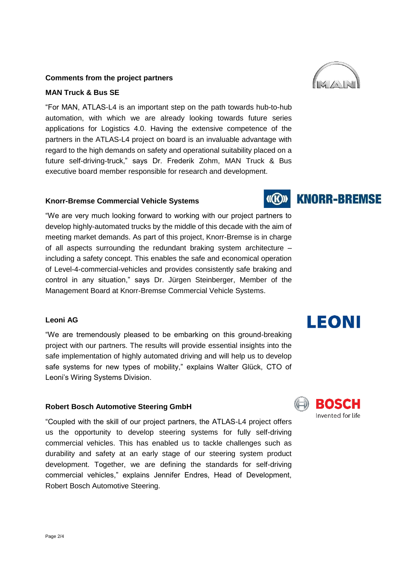### **Comments from the project partners**

## **MAN Truck & Bus SE**

"For MAN, ATLAS-L4 is an important step on the path towards hub-to-hub automation, with which we are already looking towards future series applications for Logistics 4.0. Having the extensive competence of the partners in the ATLAS-L4 project on board is an invaluable advantage with regard to the high demands on safety and operational suitability placed on a future self-driving-truck," says Dr. Frederik Zohm, MAN Truck & Bus executive board member responsible for research and development.

## **Knorr-Bremse Commercial Vehicle Systems**

"We are very much looking forward to working with our project partners to develop highly-automated trucks by the middle of this decade with the aim of meeting market demands. As part of this project, Knorr-Bremse is in charge of all aspects surrounding the redundant braking system architecture – including a safety concept. This enables the safe and economical operation of Level-4-commercial-vehicles and provides consistently safe braking and control in any situation," says Dr. Jürgen Steinberger, Member of the Management Board at Knorr-Bremse Commercial Vehicle Systems.

## **Leoni AG**

"We are tremendously pleased to be embarking on this ground-breaking project with our partners. The results will provide essential insights into the safe implementation of highly automated driving and will help us to develop safe systems for new types of mobility," explains Walter Glück, CTO of Leoni's Wiring Systems Division.

#### **Robert Bosch Automotive Steering GmbH**

"Coupled with the skill of our project partners, the ATLAS-L4 project offers us the opportunity to develop steering systems for fully self-driving commercial vehicles. This has enabled us to tackle challenges such as durability and safety at an early stage of our steering system product development. Together, we are defining the standards for self-driving commercial vehicles," explains Jennifer Endres, Head of Development, Robert Bosch Automotive Steering.



# BORGH Invented for life

**LEONI** 

#### **KNORR-BREMSE**  $(\mathbf{C})$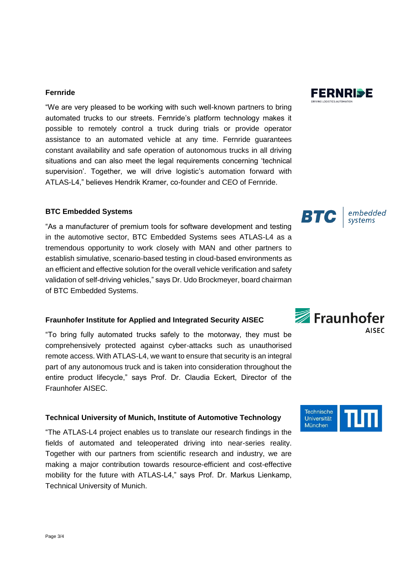#### **Fernride**

"We are very pleased to be working with such well-known partners to bring automated trucks to our streets. Fernride's platform technology makes it possible to remotely control a truck during trials or provide operator assistance to an automated vehicle at any time. Fernride guarantees constant availability and safe operation of autonomous trucks in all driving situations and can also meet the legal requirements concerning 'technical supervision'. Together, we will drive logistic's automation forward with ATLAS-L4," believes Hendrik Kramer, co-founder and CEO of Fernride.

#### **BTC Embedded Systems**

"As a manufacturer of premium tools for software development and testing in the automotive sector, BTC Embedded Systems sees ATLAS-L4 as a tremendous opportunity to work closely with MAN and other partners to establish simulative, scenario-based testing in cloud-based environments as an efficient and effective solution for the overall vehicle verification and safety validation of self-driving vehicles," says Dr. Udo Brockmeyer, board chairman of BTC Embedded Systems.

## **Fraunhofer Institute for Applied and Integrated Security AISEC**

"To bring fully automated trucks safely to the motorway, they must be comprehensively protected against cyber-attacks such as unauthorised remote access. With ATLAS-L4, we want to ensure that security is an integral part of any autonomous truck and is taken into consideration throughout the entire product lifecycle," says Prof. Dr. Claudia Eckert, Director of the Fraunhofer AISEC.

### **Technical University of Munich, Institute of Automotive Technology**

"The ATLAS-L4 project enables us to translate our research findings in the fields of automated and teleoperated driving into near-series reality. Together with our partners from scientific research and industry, we are making a major contribution towards resource-efficient and cost-effective mobility for the future with ATLAS-L4," says Prof. Dr. Markus Lienkamp, Technical University of Munich.

## embedded **BTC**